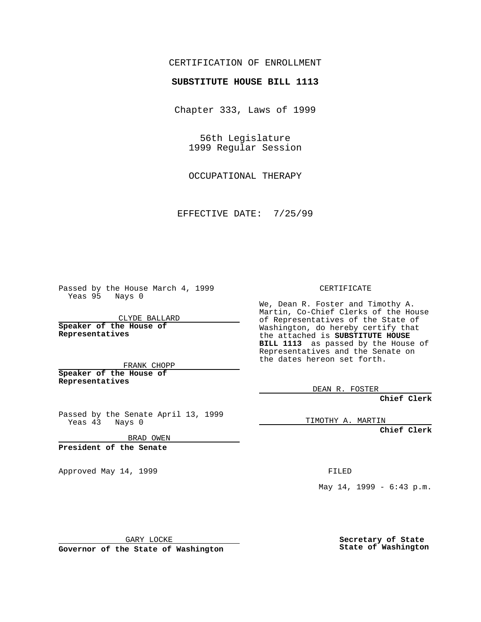## CERTIFICATION OF ENROLLMENT

## **SUBSTITUTE HOUSE BILL 1113**

Chapter 333, Laws of 1999

56th Legislature 1999 Regular Session

OCCUPATIONAL THERAPY

EFFECTIVE DATE: 7/25/99

Passed by the House March 4, 1999 Yeas 95 Nays 0

CLYDE BALLARD **Speaker of the House of Representatives**

FRANK CHOPP **Speaker of the House of Representatives**

Passed by the Senate April 13, 1999 Yeas 43 Nays 0

BRAD OWEN

**President of the Senate**

Approved May 14, 1999 **FILED** 

CERTIFICATE

We, Dean R. Foster and Timothy A. Martin, Co-Chief Clerks of the House of Representatives of the State of Washington, do hereby certify that the attached is **SUBSTITUTE HOUSE BILL 1113** as passed by the House of Representatives and the Senate on the dates hereon set forth.

DEAN R. FOSTER

**Chief Clerk**

TIMOTHY A. MARTIN

**Chief Clerk**

May 14, 1999 - 6:43 p.m.

GARY LOCKE

**Governor of the State of Washington**

**Secretary of State State of Washington**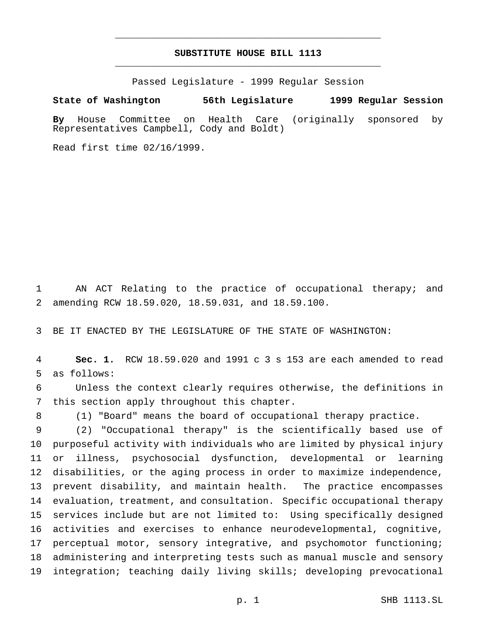## **SUBSTITUTE HOUSE BILL 1113** \_\_\_\_\_\_\_\_\_\_\_\_\_\_\_\_\_\_\_\_\_\_\_\_\_\_\_\_\_\_\_\_\_\_\_\_\_\_\_\_\_\_\_\_\_\_\_

\_\_\_\_\_\_\_\_\_\_\_\_\_\_\_\_\_\_\_\_\_\_\_\_\_\_\_\_\_\_\_\_\_\_\_\_\_\_\_\_\_\_\_\_\_\_\_

Passed Legislature - 1999 Regular Session

## **State of Washington 56th Legislature 1999 Regular Session**

**By** House Committee on Health Care (originally sponsored by Representatives Campbell, Cody and Boldt)

Read first time 02/16/1999.

 AN ACT Relating to the practice of occupational therapy; and amending RCW 18.59.020, 18.59.031, and 18.59.100.

BE IT ENACTED BY THE LEGISLATURE OF THE STATE OF WASHINGTON:

 **Sec. 1.** RCW 18.59.020 and 1991 c 3 s 153 are each amended to read as follows:

 Unless the context clearly requires otherwise, the definitions in this section apply throughout this chapter.

(1) "Board" means the board of occupational therapy practice.

 (2) "Occupational therapy" is the scientifically based use of purposeful activity with individuals who are limited by physical injury or illness, psychosocial dysfunction, developmental or learning disabilities, or the aging process in order to maximize independence, prevent disability, and maintain health. The practice encompasses evaluation, treatment, and consultation. Specific occupational therapy services include but are not limited to: Using specifically designed activities and exercises to enhance neurodevelopmental, cognitive, 17 perceptual motor, sensory integrative, and psychomotor functioning; administering and interpreting tests such as manual muscle and sensory integration; teaching daily living skills; developing prevocational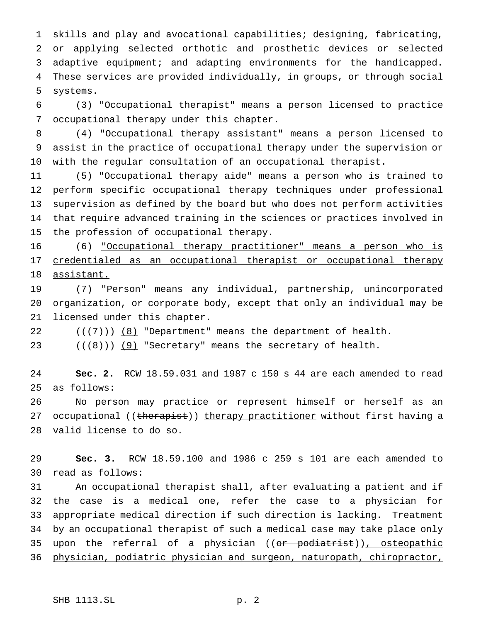skills and play and avocational capabilities; designing, fabricating, or applying selected orthotic and prosthetic devices or selected adaptive equipment; and adapting environments for the handicapped. These services are provided individually, in groups, or through social systems.

 (3) "Occupational therapist" means a person licensed to practice occupational therapy under this chapter.

 (4) "Occupational therapy assistant" means a person licensed to assist in the practice of occupational therapy under the supervision or with the regular consultation of an occupational therapist.

 (5) "Occupational therapy aide" means a person who is trained to perform specific occupational therapy techniques under professional supervision as defined by the board but who does not perform activities that require advanced training in the sciences or practices involved in the profession of occupational therapy.

 (6) "Occupational therapy practitioner" means a person who is 17 credentialed as an occupational therapist or occupational therapy assistant.

 (7) "Person" means any individual, partnership, unincorporated organization, or corporate body, except that only an individual may be licensed under this chapter.

22  $((+7))$   $(8)$  "Department" means the department of health.

 $((\{8\}) \cup 9)$  "Secretary" means the secretary of health.

 **Sec. 2.** RCW 18.59.031 and 1987 c 150 s 44 are each amended to read as follows:

 No person may practice or represent himself or herself as an 27 occupational ((therapist)) therapy practitioner without first having a valid license to do so.

 **Sec. 3.** RCW 18.59.100 and 1986 c 259 s 101 are each amended to read as follows:

 An occupational therapist shall, after evaluating a patient and if the case is a medical one, refer the case to a physician for appropriate medical direction if such direction is lacking. Treatment by an occupational therapist of such a medical case may take place only 35 upon the referral of a physician ((or podiatrist)), osteopathic physician, podiatric physician and surgeon, naturopath, chiropractor,